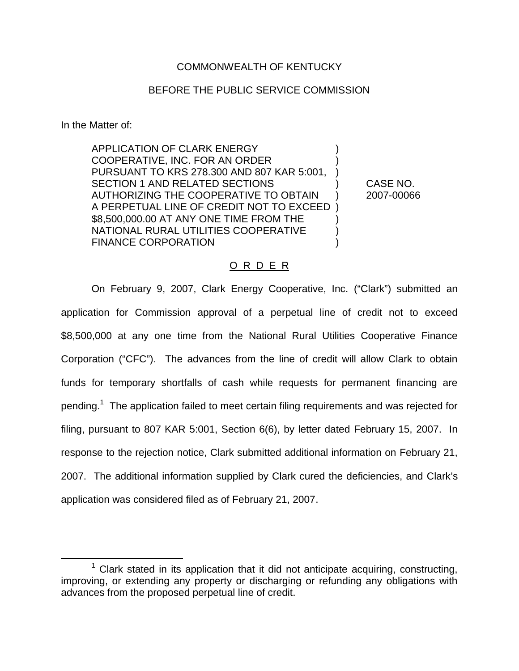## COMMONWEALTH OF KENTUCKY

## BEFORE THE PUBLIC SERVICE COMMISSION

In the Matter of:

APPLICATION OF CLARK ENERGY COOPERATIVE, INC. FOR AN ORDER ) PURSUANT TO KRS 278.300 AND 807 KAR 5:001, ) SECTION 1 AND RELATED SECTIONS  $(1, 1)$  CASE NO. AUTHORIZING THE COOPERATIVE TO OBTAIN ) 2007-00066 A PERPETUAL LINE OF CREDIT NOT TO EXCEED ) \$8,500,000.00 AT ANY ONE TIME FROM THE ) NATIONAL RURAL UTILITIES COOPERATIVE ) FINANCE CORPORATION (1999)

## O R D E R

On February 9, 2007, Clark Energy Cooperative, Inc. ("Clark") submitted an application for Commission approval of a perpetual line of credit not to exceed \$8,500,000 at any one time from the National Rural Utilities Cooperative Finance Corporation ("CFC"). The advances from the line of credit will allow Clark to obtain funds for temporary shortfalls of cash while requests for permanent financing are pending.<sup>1</sup> The application failed to meet certain filing requirements and was rejected for filing, pursuant to 807 KAR 5:001, Section 6(6), by letter dated February 15, 2007. In response to the rejection notice, Clark submitted additional information on February 21, 2007. The additional information supplied by Clark cured the deficiencies, and Clark's application was considered filed as of February 21, 2007.

 $1$  Clark stated in its application that it did not anticipate acquiring, constructing, improving, or extending any property or discharging or refunding any obligations with advances from the proposed perpetual line of credit.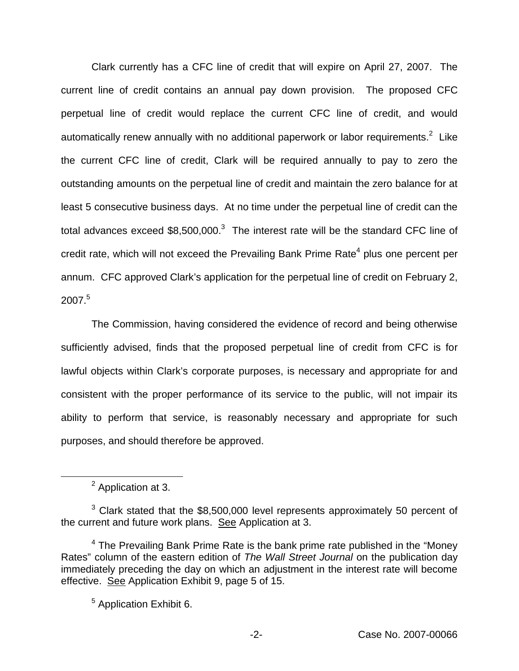Clark currently has a CFC line of credit that will expire on April 27, 2007. The current line of credit contains an annual pay down provision. The proposed CFC perpetual line of credit would replace the current CFC line of credit, and would automatically renew annually with no additional paperwork or labor requirements. $2$  Like the current CFC line of credit, Clark will be required annually to pay to zero the outstanding amounts on the perpetual line of credit and maintain the zero balance for at least 5 consecutive business days. At no time under the perpetual line of credit can the total advances exceed  $$8,500,000$ .<sup>3</sup> The interest rate will be the standard CFC line of credit rate, which will not exceed the Prevailing Bank Prime Rate<sup>4</sup> plus one percent per annum. CFC approved Clark's application for the perpetual line of credit on February 2, 2007.5

The Commission, having considered the evidence of record and being otherwise sufficiently advised, finds that the proposed perpetual line of credit from CFC is for lawful objects within Clark's corporate purposes, is necessary and appropriate for and consistent with the proper performance of its service to the public, will not impair its ability to perform that service, is reasonably necessary and appropriate for such purposes, and should therefore be approved.

<sup>2</sup> Application at 3.

 $3$  Clark stated that the \$8,500,000 level represents approximately 50 percent of the current and future work plans. See Application at 3.

 $4$  The Prevailing Bank Prime Rate is the bank prime rate published in the "Money" Rates" column of the eastern edition of *The Wall Street Journal* on the publication day immediately preceding the day on which an adjustment in the interest rate will become effective. See Application Exhibit 9, page 5 of 15.

<sup>5</sup> Application Exhibit 6.